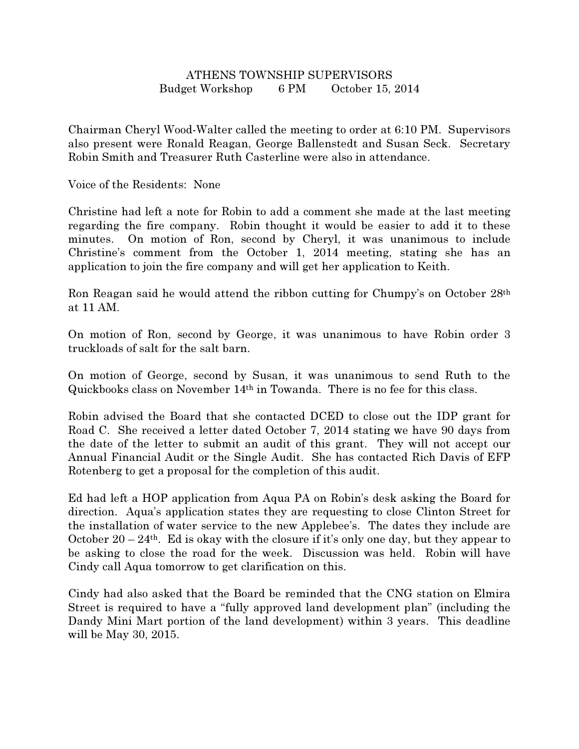## ATHENS TOWNSHIP SUPERVISORS Budget Workshop 6 PM October 15, 2014

Chairman Cheryl Wood-Walter called the meeting to order at 6:10 PM. Supervisors also present were Ronald Reagan, George Ballenstedt and Susan Seck. Secretary Robin Smith and Treasurer Ruth Casterline were also in attendance.

Voice of the Residents: None

Christine had left a note for Robin to add a comment she made at the last meeting regarding the fire company. Robin thought it would be easier to add it to these minutes. On motion of Ron, second by Cheryl, it was unanimous to include Christine's comment from the October 1, 2014 meeting, stating she has an application to join the fire company and will get her application to Keith.

Ron Reagan said he would attend the ribbon cutting for Chumpy's on October 28th at 11 AM.

On motion of Ron, second by George, it was unanimous to have Robin order 3 truckloads of salt for the salt barn.

On motion of George, second by Susan, it was unanimous to send Ruth to the Quickbooks class on November 14th in Towanda. There is no fee for this class.

Robin advised the Board that she contacted DCED to close out the IDP grant for Road C. She received a letter dated October 7, 2014 stating we have 90 days from the date of the letter to submit an audit of this grant. They will not accept our Annual Financial Audit or the Single Audit. She has contacted Rich Davis of EFP Rotenberg to get a proposal for the completion of this audit.

Ed had left a HOP application from Aqua PA on Robin's desk asking the Board for direction. Aqua's application states they are requesting to close Clinton Street for the installation of water service to the new Applebee's. The dates they include are October 20 – 24<sup>th</sup>. Ed is okay with the closure if it's only one day, but they appear to be asking to close the road for the week. Discussion was held. Robin will have Cindy call Aqua tomorrow to get clarification on this.

Cindy had also asked that the Board be reminded that the CNG station on Elmira Street is required to have a "fully approved land development plan" (including the Dandy Mini Mart portion of the land development) within 3 years. This deadline will be May 30, 2015.